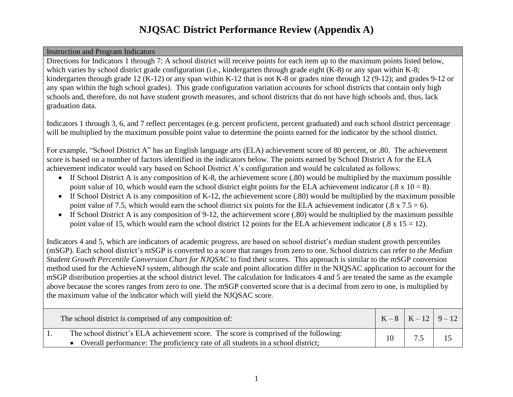### Instruction and Program Indicators

Directions for Indicators 1 through 7: A school district will receive points for each item up to the maximum points listed below, which varies by school district grade configuration (i.e., kindergarten through grade eight (K-8) or any span within K-8; kindergarten through grade 12 (K-12) or any span within K-12 that is not K-8 or grades nine through 12 (9-12); and grades 9-12 or any span within the high school grades). This grade configuration variation accounts for school districts that contain only high schools and, therefore, do not have student growth measures, and school districts that do not have high schools and, thus, lack graduation data.

Indicators 1 through 3, 6, and 7 reflect percentages (e.g. percent proficient, percent graduated) and each school district percentage will be multiplied by the maximum possible point value to determine the points earned for the indicator by the school district.

For example, "School District A" has an English language arts (ELA) achievement score of 80 percent, or .80. The achievement score is based on a number of factors identified in the indicators below. The points earned by School District A for the ELA achievement indicator would vary based on School District A's configuration and would be calculated as follows:

- If School District A is any composition of K-8, the achievement score (.80) would be multiplied by the maximum possible point value of 10, which would earn the school district eight points for the ELA achievement indicator (.8 x  $10 = 8$ ).
- If School District A is any composition of K-12, the achievement score (.80) would be multiplied by the maximum possible point value of 7.5, which would earn the school district six points for the ELA achievement indicator (.8 x 7.5 = 6).
- If School District A is any composition of 9-12, the achievement score (.80) would be multiplied by the maximum possible point value of 15, which would earn the school district 12 points for the ELA achievement indicator (.8 x 15 = 12).

Indicators 4 and 5, which are indicators of academic progress, are based on school district's median student growth percentiles (mSGP). Each school district's mSGP is converted to a score that ranges from zero to one. School districts can refer to *the Median Student Growth Percentile Conversion Chart for NJQSAC* to find their scores*.* This approach is similar to the mSGP conversion method used for the AchieveNJ system, although the scale and point allocation differ in the NJQSAC application to account for the mSGP distribution properties at the school district level. The calculation for Indicators 4 and 5 are treated the same as the example above because the scores ranges from zero to one. The mSGP converted score that is a decimal from zero to one, is multiplied by the maximum value of the indicator which will yield the NJQSAC score.

| The school district is comprised of any composition of:                                                                                                                    |  | $K-8$ $K-12$ 9 - 12 |
|----------------------------------------------------------------------------------------------------------------------------------------------------------------------------|--|---------------------|
| The school district's ELA achievement score. The score is comprised of the following:<br>• Overall performance: The proficiency rate of all students in a school district; |  |                     |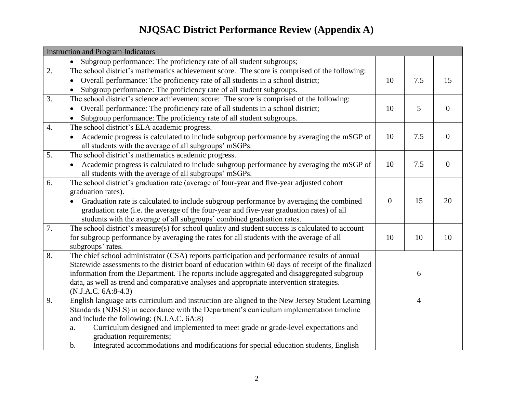|                  | <b>Instruction and Program Indicators</b>                                                                                                                                                                                                                                                                                                                                                                                                                                |          |                |                |
|------------------|--------------------------------------------------------------------------------------------------------------------------------------------------------------------------------------------------------------------------------------------------------------------------------------------------------------------------------------------------------------------------------------------------------------------------------------------------------------------------|----------|----------------|----------------|
|                  | Subgroup performance: The proficiency rate of all student subgroups;<br>$\bullet$                                                                                                                                                                                                                                                                                                                                                                                        |          |                |                |
| 2.               | The school district's mathematics achievement score. The score is comprised of the following:<br>Overall performance: The proficiency rate of all students in a school district;<br>Subgroup performance: The proficiency rate of all student subgroups.                                                                                                                                                                                                                 | 10       | 7.5            | 15             |
| 3.               | The school district's science achievement score: The score is comprised of the following:<br>Overall performance: The proficiency rate of all students in a school district;<br>Subgroup performance: The proficiency rate of all student subgroups.                                                                                                                                                                                                                     | 10       | 5              | $\mathbf{0}$   |
| $\overline{4}$ . | The school district's ELA academic progress.<br>Academic progress is calculated to include subgroup performance by averaging the mSGP of<br>all students with the average of all subgroups' mSGPs.                                                                                                                                                                                                                                                                       | 10       | 7.5            | $\overline{0}$ |
| 5.               | The school district's mathematics academic progress.<br>Academic progress is calculated to include subgroup performance by averaging the mSGP of<br>all students with the average of all subgroups' mSGPs.                                                                                                                                                                                                                                                               | 10       | 7.5            | $\mathbf{0}$   |
| 6.               | The school district's graduation rate (average of four-year and five-year adjusted cohort<br>graduation rates).<br>Graduation rate is calculated to include subgroup performance by averaging the combined<br>graduation rate (i.e. the average of the four-year and five-year graduation rates) of all<br>students with the average of all subgroups' combined graduation rates.                                                                                        | $\theta$ | 15             | 20             |
| 7.               | The school district's measure(s) for school quality and student success is calculated to account<br>for subgroup performance by averaging the rates for all students with the average of all<br>subgroups' rates.                                                                                                                                                                                                                                                        | 10       | 10             | 10             |
| 8.               | The chief school administrator (CSA) reports participation and performance results of annual<br>Statewide assessments to the district board of education within 60 days of receipt of the finalized<br>information from the Department. The reports include aggregated and disaggregated subgroup<br>data, as well as trend and comparative analyses and appropriate intervention strategies.<br>$(N.J.A.C. 6A:8-4.3)$                                                   |          | 6              |                |
| 9.               | English language arts curriculum and instruction are aligned to the New Jersey Student Learning<br>Standards (NJSLS) in accordance with the Department's curriculum implementation timeline<br>and include the following: (N.J.A.C. 6A:8)<br>Curriculum designed and implemented to meet grade or grade-level expectations and<br>a.<br>graduation requirements;<br>Integrated accommodations and modifications for special education students, English<br>$\mathbf b$ . |          | $\overline{4}$ |                |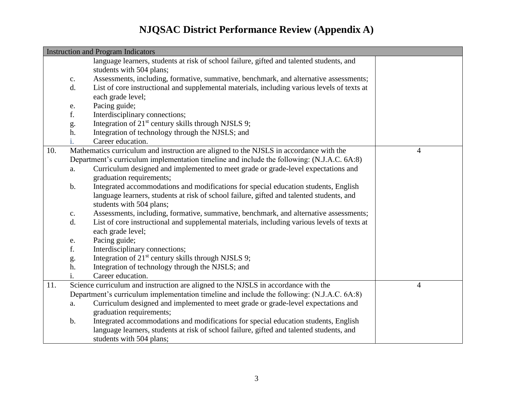|     | <b>Instruction and Program Indicators</b> |                                                                                             |   |  |
|-----|-------------------------------------------|---------------------------------------------------------------------------------------------|---|--|
|     |                                           | language learners, students at risk of school failure, gifted and talented students, and    |   |  |
|     |                                           | students with 504 plans;                                                                    |   |  |
|     | $C_{\bullet}$                             | Assessments, including, formative, summative, benchmark, and alternative assessments;       |   |  |
|     | d.                                        | List of core instructional and supplemental materials, including various levels of texts at |   |  |
|     |                                           | each grade level;                                                                           |   |  |
|     | ${\bf e}.$                                | Pacing guide;                                                                               |   |  |
|     | f.                                        | Interdisciplinary connections;                                                              |   |  |
|     | g.                                        | Integration of 21 <sup>st</sup> century skills through NJSLS 9;                             |   |  |
|     | h.                                        | Integration of technology through the NJSLS; and                                            |   |  |
|     | i.                                        | Career education.                                                                           |   |  |
| 10. |                                           | Mathematics curriculum and instruction are aligned to the NJSLS in accordance with the      | 4 |  |
|     |                                           | Department's curriculum implementation timeline and include the following: (N.J.A.C. 6A:8)  |   |  |
|     | a.                                        | Curriculum designed and implemented to meet grade or grade-level expectations and           |   |  |
|     |                                           | graduation requirements;                                                                    |   |  |
|     | $\mathbf b$ .                             | Integrated accommodations and modifications for special education students, English         |   |  |
|     |                                           | language learners, students at risk of school failure, gifted and talented students, and    |   |  |
|     |                                           | students with 504 plans;                                                                    |   |  |
|     | $C_{\bullet}$                             | Assessments, including, formative, summative, benchmark, and alternative assessments;       |   |  |
|     | d.                                        | List of core instructional and supplemental materials, including various levels of texts at |   |  |
|     |                                           | each grade level;                                                                           |   |  |
|     | e.                                        | Pacing guide;                                                                               |   |  |
|     | f.                                        | Interdisciplinary connections;                                                              |   |  |
|     | g.                                        | Integration of 21 <sup>st</sup> century skills through NJSLS 9;                             |   |  |
|     | h.                                        | Integration of technology through the NJSLS; and                                            |   |  |
|     | i.                                        | Career education.                                                                           |   |  |
| 11. |                                           | Science curriculum and instruction are aligned to the NJSLS in accordance with the          | 4 |  |
|     |                                           | Department's curriculum implementation timeline and include the following: (N.J.A.C. 6A:8)  |   |  |
|     | a.                                        | Curriculum designed and implemented to meet grade or grade-level expectations and           |   |  |
|     |                                           | graduation requirements;                                                                    |   |  |
|     | $b$ .                                     | Integrated accommodations and modifications for special education students, English         |   |  |
|     |                                           | language learners, students at risk of school failure, gifted and talented students, and    |   |  |
|     |                                           | students with 504 plans;                                                                    |   |  |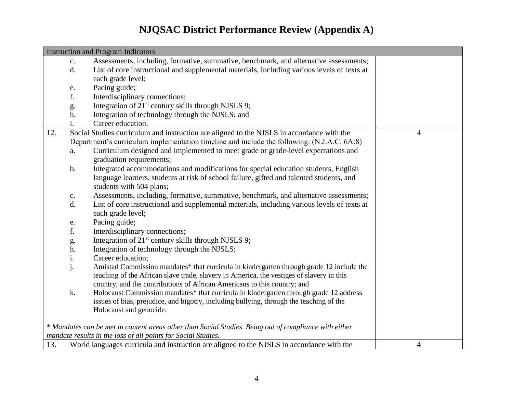| <b>Instruction and Program Indicators</b> |                                                                                                       |                                                                                             |   |  |  |  |
|-------------------------------------------|-------------------------------------------------------------------------------------------------------|---------------------------------------------------------------------------------------------|---|--|--|--|
|                                           | $\mathbf{c}$ .                                                                                        | Assessments, including, formative, summative, benchmark, and alternative assessments;       |   |  |  |  |
|                                           | d.                                                                                                    | List of core instructional and supplemental materials, including various levels of texts at |   |  |  |  |
|                                           |                                                                                                       | each grade level;                                                                           |   |  |  |  |
|                                           | e.                                                                                                    | Pacing guide;                                                                               |   |  |  |  |
|                                           | f.                                                                                                    | Interdisciplinary connections;                                                              |   |  |  |  |
|                                           | g.                                                                                                    | Integration of 21 <sup>st</sup> century skills through NJSLS 9;                             |   |  |  |  |
|                                           | h.                                                                                                    | Integration of technology through the NJSLS; and                                            |   |  |  |  |
|                                           | 1.                                                                                                    | Career education.                                                                           |   |  |  |  |
| 12.                                       |                                                                                                       | Social Studies curriculum and instruction are aligned to the NJSLS in accordance with the   | 4 |  |  |  |
|                                           |                                                                                                       | Department's curriculum implementation timeline and include the following: (N.J.A.C. 6A:8)  |   |  |  |  |
|                                           | a.                                                                                                    | Curriculum designed and implemented to meet grade or grade-level expectations and           |   |  |  |  |
|                                           |                                                                                                       | graduation requirements;                                                                    |   |  |  |  |
|                                           | $\mathbf b$ .                                                                                         | Integrated accommodations and modifications for special education students, English         |   |  |  |  |
|                                           |                                                                                                       | language learners, students at risk of school failure, gifted and talented students, and    |   |  |  |  |
|                                           |                                                                                                       | students with 504 plans;                                                                    |   |  |  |  |
|                                           | $\mathbf{C}.$                                                                                         | Assessments, including, formative, summative, benchmark, and alternative assessments;       |   |  |  |  |
|                                           | d.                                                                                                    | List of core instructional and supplemental materials, including various levels of texts at |   |  |  |  |
|                                           |                                                                                                       | each grade level;                                                                           |   |  |  |  |
|                                           | e.                                                                                                    | Pacing guide;                                                                               |   |  |  |  |
|                                           | f.                                                                                                    | Interdisciplinary connections;                                                              |   |  |  |  |
|                                           | g.                                                                                                    | Integration of 21 <sup>st</sup> century skills through NJSLS 9;                             |   |  |  |  |
|                                           | h.                                                                                                    | Integration of technology through the NJSLS;                                                |   |  |  |  |
|                                           | i.                                                                                                    | Career education;                                                                           |   |  |  |  |
|                                           | j.                                                                                                    | Amistad Commission mandates* that curricula in kindergarten through grade 12 include the    |   |  |  |  |
|                                           |                                                                                                       | teaching of the African slave trade, slavery in America, the vestiges of slavery in this    |   |  |  |  |
|                                           |                                                                                                       | country, and the contributions of African Americans to this country; and                    |   |  |  |  |
|                                           | k.                                                                                                    | Holocaust Commission mandates* that curricula in kindergarten through grade 12 address      |   |  |  |  |
|                                           |                                                                                                       | issues of bias, prejudice, and bigotry, including bullying, through the teaching of the     |   |  |  |  |
|                                           |                                                                                                       | Holocaust and genocide.                                                                     |   |  |  |  |
|                                           | * Mandates can be met in content areas other than Social Studies. Being out of compliance with either |                                                                                             |   |  |  |  |
|                                           |                                                                                                       | mandate results in the loss of all points for Social Studies.                               |   |  |  |  |
| 13.                                       |                                                                                                       | World languages curricula and instruction are aligned to the NJSLS in accordance with the   | 4 |  |  |  |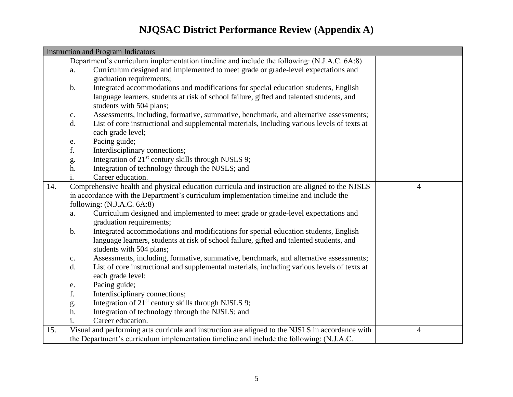|     | <b>Instruction and Program Indicators</b> |                                                                                                  |   |
|-----|-------------------------------------------|--------------------------------------------------------------------------------------------------|---|
|     |                                           | Department's curriculum implementation timeline and include the following: (N.J.A.C. 6A:8)       |   |
|     | a.                                        | Curriculum designed and implemented to meet grade or grade-level expectations and                |   |
|     |                                           | graduation requirements;                                                                         |   |
|     | $\mathbf b$ .                             | Integrated accommodations and modifications for special education students, English              |   |
|     |                                           | language learners, students at risk of school failure, gifted and talented students, and         |   |
|     |                                           | students with 504 plans;                                                                         |   |
|     | $\mathbf{C}.$                             | Assessments, including, formative, summative, benchmark, and alternative assessments;            |   |
|     | d.                                        | List of core instructional and supplemental materials, including various levels of texts at      |   |
|     |                                           | each grade level;                                                                                |   |
|     | e.                                        | Pacing guide;                                                                                    |   |
|     | f.                                        | Interdisciplinary connections;                                                                   |   |
|     | g.                                        | Integration of $21st$ century skills through NJSLS 9;                                            |   |
|     | h.                                        | Integration of technology through the NJSLS; and                                                 |   |
|     | 1.                                        | Career education.                                                                                |   |
| 14. |                                           | Comprehensive health and physical education curricula and instruction are aligned to the NJSLS   | 4 |
|     |                                           | in accordance with the Department's curriculum implementation timeline and include the           |   |
|     |                                           | following: (N.J.A.C. 6A:8)                                                                       |   |
|     | a.                                        | Curriculum designed and implemented to meet grade or grade-level expectations and                |   |
|     |                                           | graduation requirements;                                                                         |   |
|     | $\mathbf b$ .                             | Integrated accommodations and modifications for special education students, English              |   |
|     |                                           | language learners, students at risk of school failure, gifted and talented students, and         |   |
|     |                                           | students with 504 plans;                                                                         |   |
|     | $\mathbf{C}.$                             | Assessments, including, formative, summative, benchmark, and alternative assessments;            |   |
|     | d.                                        | List of core instructional and supplemental materials, including various levels of texts at      |   |
|     |                                           | each grade level;                                                                                |   |
|     | e.                                        | Pacing guide;                                                                                    |   |
|     | f.                                        | Interdisciplinary connections;                                                                   |   |
|     | g.                                        | Integration of 21 <sup>st</sup> century skills through NJSLS 9;                                  |   |
|     | h.                                        | Integration of technology through the NJSLS; and                                                 |   |
|     | 1.                                        | Career education.                                                                                |   |
| 15. |                                           | Visual and performing arts curricula and instruction are aligned to the NJSLS in accordance with | 4 |
|     |                                           | the Department's curriculum implementation timeline and include the following: (N.J.A.C.         |   |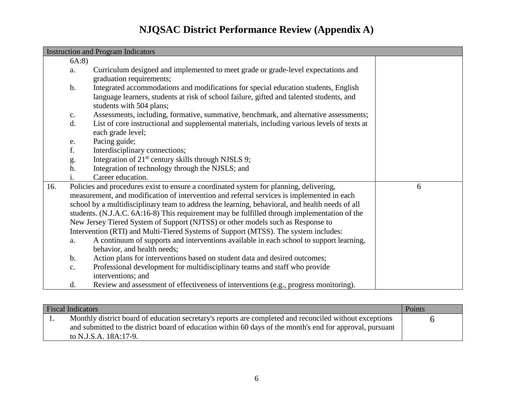|     | <b>Instruction and Program Indicators</b> |                                                                                                                                                                                                             |   |  |  |
|-----|-------------------------------------------|-------------------------------------------------------------------------------------------------------------------------------------------------------------------------------------------------------------|---|--|--|
|     | 6A:8                                      |                                                                                                                                                                                                             |   |  |  |
|     | a.                                        | Curriculum designed and implemented to meet grade or grade-level expectations and<br>graduation requirements;                                                                                               |   |  |  |
|     | $\mathbf b$ .                             | Integrated accommodations and modifications for special education students, English<br>language learners, students at risk of school failure, gifted and talented students, and<br>students with 504 plans; |   |  |  |
|     | $\mathbf{c}$ .                            | Assessments, including, formative, summative, benchmark, and alternative assessments;                                                                                                                       |   |  |  |
|     | d.                                        | List of core instructional and supplemental materials, including various levels of texts at                                                                                                                 |   |  |  |
|     |                                           | each grade level;                                                                                                                                                                                           |   |  |  |
|     | e.                                        | Pacing guide;                                                                                                                                                                                               |   |  |  |
|     | f.                                        | Interdisciplinary connections;                                                                                                                                                                              |   |  |  |
|     | g.                                        | Integration of 21 <sup>st</sup> century skills through NJSLS 9;                                                                                                                                             |   |  |  |
|     | h.                                        | Integration of technology through the NJSLS; and                                                                                                                                                            |   |  |  |
|     |                                           | Career education.                                                                                                                                                                                           |   |  |  |
| 16. |                                           | Policies and procedures exist to ensure a coordinated system for planning, delivering,                                                                                                                      | 6 |  |  |
|     |                                           | measurement, and modification of intervention and referral services is implemented in each                                                                                                                  |   |  |  |
|     |                                           | school by a multidisciplinary team to address the learning, behavioral, and health needs of all                                                                                                             |   |  |  |
|     |                                           | students. (N.J.A.C. 6A:16-8) This requirement may be fulfilled through implementation of the                                                                                                                |   |  |  |
|     |                                           | New Jersey Tiered System of Support (NJTSS) or other models such as Response to                                                                                                                             |   |  |  |
|     |                                           | Intervention (RTI) and Multi-Tiered Systems of Support (MTSS). The system includes:                                                                                                                         |   |  |  |
|     | a.                                        | A continuum of supports and interventions available in each school to support learning,                                                                                                                     |   |  |  |
|     |                                           | behavior, and health needs;                                                                                                                                                                                 |   |  |  |
|     | $\mathbf b$ .                             | Action plans for interventions based on student data and desired outcomes;                                                                                                                                  |   |  |  |
|     | $\mathbf{c}$ .                            | Professional development for multidisciplinary teams and staff who provide                                                                                                                                  |   |  |  |
|     |                                           | interventions; and                                                                                                                                                                                          |   |  |  |
|     | d.                                        | Review and assessment of effectiveness of interventions (e.g., progress monitoring).                                                                                                                        |   |  |  |

| <b>Fiscal Indicators</b> |                                                                                                                                                                                                                                               |  |
|--------------------------|-----------------------------------------------------------------------------------------------------------------------------------------------------------------------------------------------------------------------------------------------|--|
|                          | Monthly district board of education secretary's reports are completed and reconciled without exceptions<br>and submitted to the district board of education within 60 days of the month's end for approval, pursuant<br>to N.J.S.A. 18A:17-9. |  |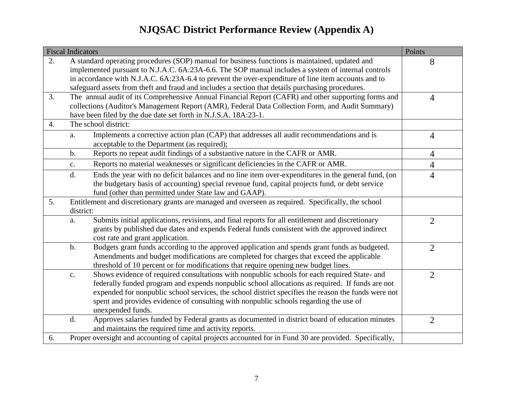|    | <b>Fiscal Indicators</b> |                                                                                                          | Points         |
|----|--------------------------|----------------------------------------------------------------------------------------------------------|----------------|
| 2. |                          | A standard operating procedures (SOP) manual for business functions is maintained, updated and           | 8              |
|    |                          | implemented pursuant to N.J.A.C. 6A:23A-6.6. The SOP manual includes a system of internal controls       |                |
|    |                          | in accordance with N.J.A.C. 6A:23A-6.4 to prevent the over-expenditure of line item accounts and to      |                |
|    |                          | safeguard assets from theft and fraud and includes a section that details purchasing procedures.         |                |
| 3. |                          | The annual audit of its Comprehensive Annual Financial Report (CAFR) and other supporting forms and      | $\overline{4}$ |
|    |                          | collections (Auditor's Management Report (AMR), Federal Data Collection Form, and Audit Summary)         |                |
|    |                          | have been filed by the due date set forth in N.J.S.A. 18A:23-1.                                          |                |
| 4. |                          | The school district:                                                                                     |                |
|    | a.                       | Implements a corrective action plan (CAP) that addresses all audit recommendations and is                | $\overline{4}$ |
|    |                          | acceptable to the Department (as required);                                                              |                |
|    | $\mathbf b$ .            | Reports no repeat audit findings of a substantive nature in the CAFR or AMR.                             | $\overline{4}$ |
|    | $\mathbf{c}$ .           | Reports no material weaknesses or significant deficiencies in the CAFR or AMR.                           | $\overline{4}$ |
|    | d.                       | Ends the year with no deficit balances and no line item over-expenditures in the general fund, (on       | $\overline{4}$ |
|    |                          | the budgetary basis of accounting) special revenue fund, capital projects fund, or debt service          |                |
|    |                          | fund (other than permitted under State law and GAAP).                                                    |                |
| 5. |                          | Entitlement and discretionary grants are managed and overseen as required. Specifically, the school      |                |
|    | district:                |                                                                                                          |                |
|    | a.                       | Submits initial applications, revisions, and final reports for all entitlement and discretionary         | $\overline{2}$ |
|    |                          | grants by published due dates and expends Federal funds consistent with the approved indirect            |                |
|    |                          | cost rate and grant application.                                                                         |                |
|    | $\mathbf b$ .            | Budgets grant funds according to the approved application and spends grant funds as budgeted.            | $\overline{2}$ |
|    |                          | Amendments and budget modifications are completed for charges that exceed the applicable                 |                |
|    |                          | threshold of 10 percent or for modifications that require opening new budget lines.                      |                |
|    | $\mathbf{c}$ .           | Shows evidence of required consultations with nonpublic schools for each required State- and             | $\overline{2}$ |
|    |                          | federally funded program and expends nonpublic school allocations as required. If funds are not          |                |
|    |                          | expended for nonpublic school services, the school district specifies the reason the funds were not      |                |
|    |                          | spent and provides evidence of consulting with nonpublic schools regarding the use of                    |                |
|    |                          | unexpended funds.                                                                                        |                |
|    | d.                       | Approves salaries funded by Federal grants as documented in district board of education minutes          | $\overline{2}$ |
|    |                          | and maintains the required time and activity reports.                                                    |                |
| 6. |                          | Proper oversight and accounting of capital projects accounted for in Fund 30 are provided. Specifically, |                |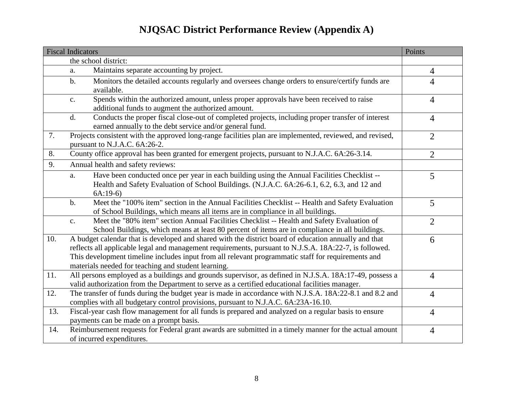|     | <b>Fiscal Indicators</b>                                                                                     | Points         |
|-----|--------------------------------------------------------------------------------------------------------------|----------------|
|     | the school district:                                                                                         |                |
|     | Maintains separate accounting by project.<br>a.                                                              | $\overline{4}$ |
|     | Monitors the detailed accounts regularly and oversees change orders to ensure/certify funds are<br>$b$ .     | $\overline{4}$ |
|     | available.                                                                                                   |                |
|     | Spends within the authorized amount, unless proper approvals have been received to raise<br>$\mathbf{c}$ .   | $\overline{4}$ |
|     | additional funds to augment the authorized amount.                                                           |                |
|     | Conducts the proper fiscal close-out of completed projects, including proper transfer of interest<br>d.      | $\overline{4}$ |
|     | earned annually to the debt service and/or general fund.                                                     |                |
| 7.  | Projects consistent with the approved long-range facilities plan are implemented, reviewed, and revised,     | $\overline{2}$ |
|     | pursuant to N.J.A.C. 6A:26-2.                                                                                |                |
| 8.  | County office approval has been granted for emergent projects, pursuant to N.J.A.C. 6A:26-3.14.              | $\overline{2}$ |
| 9.  | Annual health and safety reviews:                                                                            |                |
|     | Have been conducted once per year in each building using the Annual Facilities Checklist --<br>a.            | 5              |
|     | Health and Safety Evaluation of School Buildings. (N.J.A.C. 6A:26-6.1, 6.2, 6.3, and 12 and                  |                |
|     | $6A:19-6$                                                                                                    |                |
|     | Meet the "100% item" section in the Annual Facilities Checklist -- Health and Safety Evaluation<br>$b$ .     | 5              |
|     | of School Buildings, which means all items are in compliance in all buildings.                               |                |
|     | Meet the "80% item" section Annual Facilities Checklist -- Health and Safety Evaluation of<br>$\mathbf{c}$ . | $\overline{2}$ |
|     | School Buildings, which means at least 80 percent of items are in compliance in all buildings.               |                |
| 10. | A budget calendar that is developed and shared with the district board of education annually and that        | 6              |
|     | reflects all applicable legal and management requirements, pursuant to N.J.S.A. 18A:22-7, is followed.       |                |
|     | This development timeline includes input from all relevant programmatic staff for requirements and           |                |
|     | materials needed for teaching and student learning.                                                          |                |
| 11. | All persons employed as a buildings and grounds supervisor, as defined in N.J.S.A. 18A:17-49, possess a      | $\overline{4}$ |
|     | valid authorization from the Department to serve as a certified educational facilities manager.              |                |
| 12. | The transfer of funds during the budget year is made in accordance with N.J.S.A. 18A:22-8.1 and 8.2 and      | $\overline{4}$ |
|     | complies with all budgetary control provisions, pursuant to N.J.A.C. 6A:23A-16.10.                           |                |
| 13. | Fiscal-year cash flow management for all funds is prepared and analyzed on a regular basis to ensure         | $\overline{4}$ |
|     | payments can be made on a prompt basis.                                                                      |                |
| 14. | Reimbursement requests for Federal grant awards are submitted in a timely manner for the actual amount       | $\overline{4}$ |
|     | of incurred expenditures.                                                                                    |                |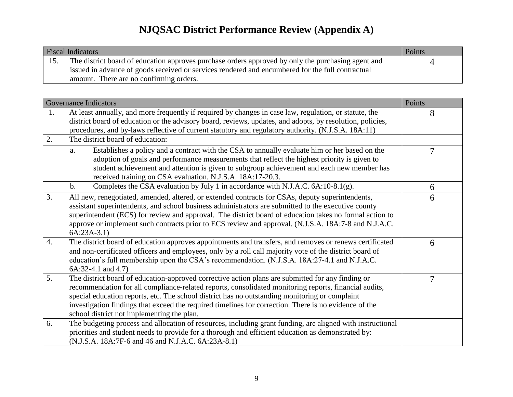| <b>Fiscal Indicators</b> |                                                                                                                                                                                                        |  |
|--------------------------|--------------------------------------------------------------------------------------------------------------------------------------------------------------------------------------------------------|--|
|                          | The district board of education approves purchase orders approved by only the purchasing agent and<br>issued in advance of goods received or services rendered and encumbered for the full contractual |  |
|                          | amount. There are no confirming orders.                                                                                                                                                                |  |

|    | <b>Governance Indicators</b>                                                                                                                                                                                                                                                                                                                                                                                                                                        | Points |
|----|---------------------------------------------------------------------------------------------------------------------------------------------------------------------------------------------------------------------------------------------------------------------------------------------------------------------------------------------------------------------------------------------------------------------------------------------------------------------|--------|
| 1. | At least annually, and more frequently if required by changes in case law, regulation, or statute, the<br>district board of education or the advisory board, reviews, updates, and adopts, by resolution, policies,<br>procedures, and by-laws reflective of current statutory and regulatory authority. (N.J.S.A. 18A:11)                                                                                                                                          | 8      |
| 2. | The district board of education:                                                                                                                                                                                                                                                                                                                                                                                                                                    |        |
|    | Establishes a policy and a contract with the CSA to annually evaluate him or her based on the<br>a.<br>adoption of goals and performance measurements that reflect the highest priority is given to<br>student achievement and attention is given to subgroup achievement and each new member has<br>received training on CSA evaluation. N.J.S.A. 18A:17-20.3.                                                                                                     | 7      |
|    | Completes the CSA evaluation by July 1 in accordance with N.J.A.C. 6A:10-8.1(g).<br>$\mathbf b$ .                                                                                                                                                                                                                                                                                                                                                                   | 6      |
| 3. | All new, renegotiated, amended, altered, or extended contracts for CSAs, deputy superintendents,<br>assistant superintendents, and school business administrators are submitted to the executive county<br>superintendent (ECS) for review and approval. The district board of education takes no formal action to<br>approve or implement such contracts prior to ECS review and approval. (N.J.S.A. 18A:7-8 and N.J.A.C.<br>$6A:23A-3.1)$                         | 6      |
| 4. | The district board of education approves appointments and transfers, and removes or renews certificated<br>and non-certificated officers and employees, only by a roll call majority vote of the district board of<br>education's full membership upon the CSA's recommendation. (N.J.S.A. 18A:27-4.1 and N.J.A.C.<br>$6A:32-4.1$ and $4.7$ )                                                                                                                       | 6      |
| 5. | The district board of education-approved corrective action plans are submitted for any finding or<br>recommendation for all compliance-related reports, consolidated monitoring reports, financial audits,<br>special education reports, etc. The school district has no outstanding monitoring or complaint<br>investigation findings that exceed the required timelines for correction. There is no evidence of the<br>school district not implementing the plan. | 7      |
| 6. | The budgeting process and allocation of resources, including grant funding, are aligned with instructional<br>priorities and student needs to provide for a thorough and efficient education as demonstrated by:<br>(N.J.S.A. 18A:7F-6 and 46 and N.J.A.C. 6A:23A-8.1)                                                                                                                                                                                              |        |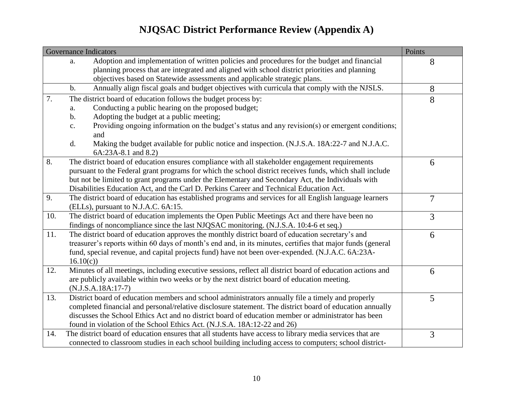|     | <b>Governance Indicators</b>                                                                                       | Points         |
|-----|--------------------------------------------------------------------------------------------------------------------|----------------|
|     | Adoption and implementation of written policies and procedures for the budget and financial<br>a.                  | 8              |
|     | planning process that are integrated and aligned with school district priorities and planning                      |                |
|     | objectives based on Statewide assessments and applicable strategic plans.                                          |                |
|     | Annually align fiscal goals and budget objectives with curricula that comply with the NJSLS.<br>$b$ .              | 8              |
| 7.  | The district board of education follows the budget process by:                                                     | 8              |
|     | Conducting a public hearing on the proposed budget;<br>a.                                                          |                |
|     | Adopting the budget at a public meeting;<br>$\mathbf b$ .                                                          |                |
|     | Providing ongoing information on the budget's status and any revision(s) or emergent conditions;<br>$\mathbf{c}$ . |                |
|     | and                                                                                                                |                |
|     | Making the budget available for public notice and inspection. (N.J.S.A. 18A:22-7 and N.J.A.C.<br>d.                |                |
|     | 6A:23A-8.1 and 8.2)                                                                                                |                |
| 8.  | The district board of education ensures compliance with all stakeholder engagement requirements                    | 6              |
|     | pursuant to the Federal grant programs for which the school district receives funds, which shall include           |                |
|     | but not be limited to grant programs under the Elementary and Secondary Act, the Individuals with                  |                |
|     | Disabilities Education Act, and the Carl D. Perkins Career and Technical Education Act.                            |                |
| 9.  | The district board of education has established programs and services for all English language learners            | $\overline{7}$ |
|     | (ELLs), pursuant to N.J.A.C. 6A:15.                                                                                |                |
| 10. | The district board of education implements the Open Public Meetings Act and there have been no                     | 3              |
|     | findings of noncompliance since the last NJQSAC monitoring. (N.J.S.A. 10:4-6 et seq.)                              |                |
| 11. | The district board of education approves the monthly district board of education secretary's and                   | 6              |
|     | treasurer's reports within 60 days of month's end and, in its minutes, certifies that major funds (general         |                |
|     | fund, special revenue, and capital projects fund) have not been over-expended. (N.J.A.C. 6A:23A-                   |                |
|     | 16.10(c)                                                                                                           |                |
| 12. | Minutes of all meetings, including executive sessions, reflect all district board of education actions and         | 6              |
|     | are publicly available within two weeks or by the next district board of education meeting.                        |                |
|     | $(N.J.S.A.18A:17-7)$                                                                                               |                |
| 13. | District board of education members and school administrators annually file a timely and properly                  | 5              |
|     | completed financial and personal/relative disclosure statement. The district board of education annually           |                |
|     | discusses the School Ethics Act and no district board of education member or administrator has been                |                |
|     | found in violation of the School Ethics Act. (N.J.S.A. 18A:12-22 and 26)                                           |                |
| 14. | The district board of education ensures that all students have access to library media services that are           | 3              |
|     | connected to classroom studies in each school building including access to computers; school district-             |                |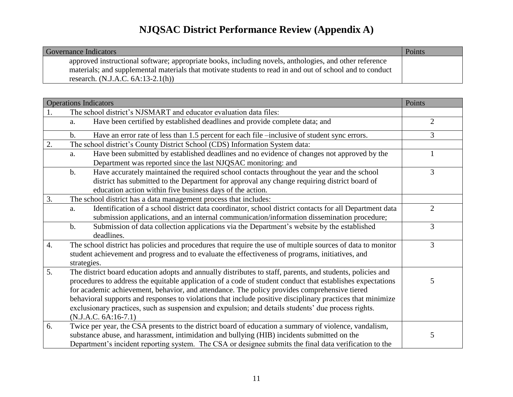| <b>Governance Indicators</b>                                                                             | Points |
|----------------------------------------------------------------------------------------------------------|--------|
| approved instructional software; appropriate books, including novels, anthologies, and other reference   |        |
| materials; and supplemental materials that motivate students to read in and out of school and to conduct |        |
| research. $(N.J.A.C. 6A:13-2.1(h))$                                                                      |        |

|    | <b>Operations Indicators</b>                                                                                                                                                                                                                                                                                                                                                                                                                                                                                                                                            | Points         |
|----|-------------------------------------------------------------------------------------------------------------------------------------------------------------------------------------------------------------------------------------------------------------------------------------------------------------------------------------------------------------------------------------------------------------------------------------------------------------------------------------------------------------------------------------------------------------------------|----------------|
|    | The school district's NJSMART and educator evaluation data files:                                                                                                                                                                                                                                                                                                                                                                                                                                                                                                       |                |
|    | Have been certified by established deadlines and provide complete data; and<br>a.                                                                                                                                                                                                                                                                                                                                                                                                                                                                                       | $\overline{2}$ |
|    | Have an error rate of less than 1.5 percent for each file -inclusive of student sync errors.<br>$\mathbf b$ .                                                                                                                                                                                                                                                                                                                                                                                                                                                           | $\overline{3}$ |
| 2. | The school district's County District School (CDS) Information System data:                                                                                                                                                                                                                                                                                                                                                                                                                                                                                             |                |
|    | Have been submitted by established deadlines and no evidence of changes not approved by the<br>a.<br>Department was reported since the last NJQSAC monitoring: and                                                                                                                                                                                                                                                                                                                                                                                                      |                |
|    | Have accurately maintained the required school contacts throughout the year and the school<br>$\mathbf b$ .<br>district has submitted to the Department for approval any change requiring district board of<br>education action within five business days of the action.                                                                                                                                                                                                                                                                                                | $\overline{3}$ |
| 3. | The school district has a data management process that includes:                                                                                                                                                                                                                                                                                                                                                                                                                                                                                                        |                |
|    | Identification of a school district data coordinator, school district contacts for all Department data<br>a.<br>submission applications, and an internal communication/information dissemination procedure;                                                                                                                                                                                                                                                                                                                                                             | $\overline{2}$ |
|    | Submission of data collection applications via the Department's website by the established<br>$b$ .<br>deadlines.                                                                                                                                                                                                                                                                                                                                                                                                                                                       | 3              |
| 4. | The school district has policies and procedures that require the use of multiple sources of data to monitor<br>student achievement and progress and to evaluate the effectiveness of programs, initiatives, and<br>strategies.                                                                                                                                                                                                                                                                                                                                          | $\overline{3}$ |
| 5. | The district board education adopts and annually distributes to staff, parents, and students, policies and<br>procedures to address the equitable application of a code of student conduct that establishes expectations<br>for academic achievement, behavior, and attendance. The policy provides comprehensive tiered<br>behavioral supports and responses to violations that include positive disciplinary practices that minimize<br>exclusionary practices, such as suspension and expulsion; and details students' due process rights.<br>$(N.J.A.C. 6A:16-7.1)$ | 5              |
| 6. | Twice per year, the CSA presents to the district board of education a summary of violence, vandalism,<br>substance abuse, and harassment, intimidation and bullying (HIB) incidents submitted on the<br>Department's incident reporting system. The CSA or designee submits the final data verification to the                                                                                                                                                                                                                                                          | 5              |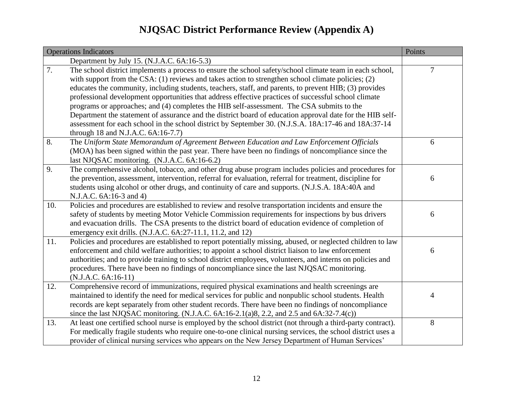|     | <b>Operations Indicators</b>                                                                                                                                                                                                                                                                                                                                                                                                                                                                                                                                                                                                                                                                                                                       | Points |
|-----|----------------------------------------------------------------------------------------------------------------------------------------------------------------------------------------------------------------------------------------------------------------------------------------------------------------------------------------------------------------------------------------------------------------------------------------------------------------------------------------------------------------------------------------------------------------------------------------------------------------------------------------------------------------------------------------------------------------------------------------------------|--------|
|     | Department by July 15. (N.J.A.C. 6A:16-5.3)                                                                                                                                                                                                                                                                                                                                                                                                                                                                                                                                                                                                                                                                                                        |        |
| 7.  | The school district implements a process to ensure the school safety/school climate team in each school,<br>with support from the CSA: (1) reviews and takes action to strengthen school climate policies; (2)<br>educates the community, including students, teachers, staff, and parents, to prevent HIB; (3) provides<br>professional development opportunities that address effective practices of successful school climate<br>programs or approaches; and (4) completes the HIB self-assessment. The CSA submits to the<br>Department the statement of assurance and the district board of education approval date for the HIB self-<br>assessment for each school in the school district by September 30. (N.J.S.A. 18A:17-46 and 18A:37-14 | 7      |
| 8.  | through 18 and N.J.A.C. 6A:16-7.7)<br>The Uniform State Memorandum of Agreement Between Education and Law Enforcement Officials<br>(MOA) has been signed within the past year. There have been no findings of noncompliance since the<br>last NJQSAC monitoring. (N.J.A.C. 6A:16-6.2)                                                                                                                                                                                                                                                                                                                                                                                                                                                              | 6      |
| 9.  | The comprehensive alcohol, tobacco, and other drug abuse program includes policies and procedures for<br>the prevention, assessment, intervention, referral for evaluation, referral for treatment, discipline for<br>students using alcohol or other drugs, and continuity of care and supports. (N.J.S.A. 18A:40A and<br>N.J.A.C. 6A:16-3 and 4)                                                                                                                                                                                                                                                                                                                                                                                                 | 6      |
| 10. | Policies and procedures are established to review and resolve transportation incidents and ensure the<br>safety of students by meeting Motor Vehicle Commission requirements for inspections by bus drivers<br>and evacuation drills. The CSA presents to the district board of education evidence of completion of<br>emergency exit drills. (N.J.A.C. 6A:27-11.1, 11.2, and 12)                                                                                                                                                                                                                                                                                                                                                                  | 6      |
| 11. | Policies and procedures are established to report potentially missing, abused, or neglected children to law<br>enforcement and child welfare authorities; to appoint a school district liaison to law enforcement<br>authorities; and to provide training to school district employees, volunteers, and interns on policies and<br>procedures. There have been no findings of noncompliance since the last NJQSAC monitoring.<br>(N.J.A.C. 6A:16-11)                                                                                                                                                                                                                                                                                               | 6      |
| 12. | Comprehensive record of immunizations, required physical examinations and health screenings are<br>maintained to identify the need for medical services for public and nonpublic school students. Health<br>records are kept separately from other student records. There have been no findings of noncompliance<br>since the last NJQSAC monitoring. (N.J.A.C. 6A:16-2.1(a)8, 2.2, and 2.5 and 6A:32-7.4(c))                                                                                                                                                                                                                                                                                                                                      | 4      |
| 13. | At least one certified school nurse is employed by the school district (not through a third-party contract).<br>For medically fragile students who require one-to-one clinical nursing services, the school district uses a<br>provider of clinical nursing services who appears on the New Jersey Department of Human Services'                                                                                                                                                                                                                                                                                                                                                                                                                   | 8      |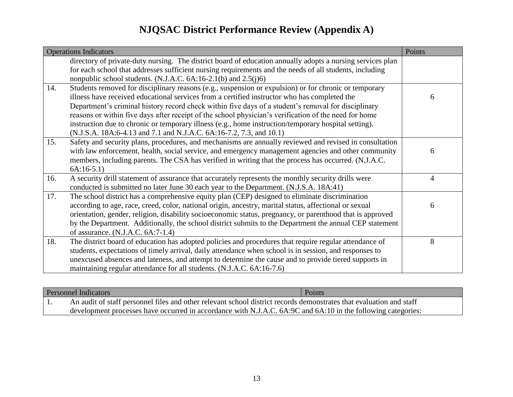|     | <b>Operations Indicators</b>                                                                               | Points |
|-----|------------------------------------------------------------------------------------------------------------|--------|
|     | directory of private-duty nursing. The district board of education annually adopts a nursing services plan |        |
|     | for each school that addresses sufficient nursing requirements and the needs of all students, including    |        |
|     | nonpublic school students. (N.J.A.C. 6A:16-2.1(b) and 2.5(j)6)                                             |        |
| 14. | Students removed for disciplinary reasons (e.g., suspension or expulsion) or for chronic or temporary      |        |
|     | illness have received educational services from a certified instructor who has completed the               | 6      |
|     | Department's criminal history record check within five days of a student's removal for disciplinary        |        |
|     | reasons or within five days after receipt of the school physician's verification of the need for home      |        |
|     | instruction due to chronic or temporary illness (e.g., home instruction/temporary hospital setting).       |        |
|     | (N.J.S.A. 18A:6-4.13 and 7.1 and N.J.A.C. 6A:16-7.2, 7.3, and 10.1)                                        |        |
| 15. | Safety and security plans, procedures, and mechanisms are annually reviewed and revised in consultation    |        |
|     | with law enforcement, health, social service, and emergency management agencies and other community        | 6      |
|     | members, including parents. The CSA has verified in writing that the process has occurred. (N.J.A.C.       |        |
|     | $6A:16-5.1)$                                                                                               |        |
| 16. | A security drill statement of assurance that accurately represents the monthly security drills were        | 4      |
|     | conducted is submitted no later June 30 each year to the Department. (N.J.S.A. 18A:41)                     |        |
| 17. | The school district has a comprehensive equity plan (CEP) designed to eliminate discrimination             |        |
|     | according to age, race, creed, color, national origin, ancestry, marital status, affectional or sexual     | 6      |
|     | orientation, gender, religion, disability socioeconomic status, pregnancy, or parenthood that is approved  |        |
|     | by the Department. Additionally, the school district submits to the Department the annual CEP statement    |        |
|     | of assurance. $(N.J.A.C. 6A:7-1.4)$                                                                        |        |
| 18. | The district board of education has adopted policies and procedures that require regular attendance of     | 8      |
|     | students, expectations of timely arrival, daily attendance when school is in session, and responses to     |        |
|     | unexcused absences and lateness, and attempt to determine the cause and to provide tiered supports in      |        |
|     | maintaining regular attendance for all students. (N.J.A.C. 6A:16-7.6)                                      |        |

| <b>Personnel Indicators</b> |                                                                                                                     | Points |
|-----------------------------|---------------------------------------------------------------------------------------------------------------------|--------|
|                             | An audit of staff personnel files and other relevant school district records demonstrates that evaluation and staff |        |
|                             | development processes have occurred in accordance with N.J.A.C. 6A:9C and 6A:10 in the following categories:        |        |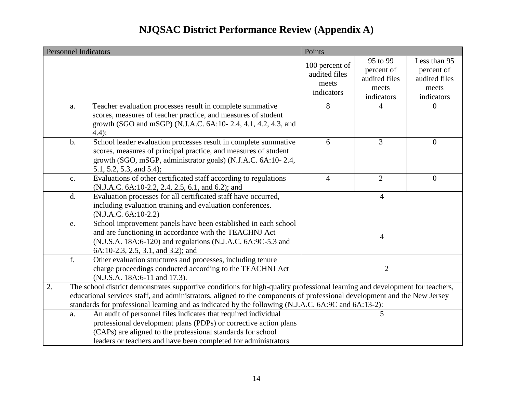|    |       | <b>Personnel Indicators</b>                                                                                                                                                                                                                                                                                                                                    | Points                                                 |                                                                |                                                                    |
|----|-------|----------------------------------------------------------------------------------------------------------------------------------------------------------------------------------------------------------------------------------------------------------------------------------------------------------------------------------------------------------------|--------------------------------------------------------|----------------------------------------------------------------|--------------------------------------------------------------------|
|    |       |                                                                                                                                                                                                                                                                                                                                                                | 100 percent of<br>audited files<br>meets<br>indicators | 95 to 99<br>percent of<br>audited files<br>meets<br>indicators | Less than 95<br>percent of<br>audited files<br>meets<br>indicators |
|    | a.    | Teacher evaluation processes result in complete summative<br>scores, measures of teacher practice, and measures of student<br>growth (SGO and mSGP) (N.J.A.C. 6A:10-2.4, 4.1, 4.2, 4.3, and<br>$4.4$ ;                                                                                                                                                         | 8                                                      | 4                                                              | $\Omega$                                                           |
|    | $b$ . | School leader evaluation processes result in complete summative<br>scores, measures of principal practice, and measures of student<br>growth (SGO, mSGP, administrator goals) (N.J.A.C. 6A:10-2.4,<br>5.1, 5.2, 5.3, and 5.4);                                                                                                                                 | 6                                                      | $\overline{3}$                                                 | $\mathbf{0}$                                                       |
|    | c.    | Evaluations of other certificated staff according to regulations<br>(N.J.A.C. 6A:10-2.2, 2.4, 2.5, 6.1, and 6.2); and                                                                                                                                                                                                                                          | $\overline{4}$                                         | $\overline{2}$                                                 | $\overline{0}$                                                     |
|    | d.    | Evaluation processes for all certificated staff have occurred,<br>including evaluation training and evaluation conferences.<br>$(N.J.A.C. 6A:10-2.2)$                                                                                                                                                                                                          |                                                        | $\overline{4}$                                                 |                                                                    |
|    | e.    | School improvement panels have been established in each school<br>and are functioning in accordance with the TEACHNJ Act<br>(N.J.S.A. 18A:6-120) and regulations (N.J.A.C. 6A:9C-5.3 and<br>6A:10-2.3, 2.5, 3.1, and 3.2); and                                                                                                                                 |                                                        | 4                                                              |                                                                    |
|    | f.    | Other evaluation structures and processes, including tenure<br>charge proceedings conducted according to the TEACHNJ Act<br>(N.J.S.A. 18A:6-11 and 17.3).                                                                                                                                                                                                      |                                                        | $\overline{2}$                                                 |                                                                    |
| 2. |       | The school district demonstrates supportive conditions for high-quality professional learning and development for teachers,<br>educational services staff, and administrators, aligned to the components of professional development and the New Jersey<br>standards for professional learning and as indicated by the following (N.J.A.C. 6A:9C and 6A:13-2): |                                                        |                                                                |                                                                    |
|    | a.    | An audit of personnel files indicates that required individual<br>professional development plans (PDPs) or corrective action plans<br>(CAPs) are aligned to the professional standards for school<br>leaders or teachers and have been completed for administrators                                                                                            |                                                        | 5                                                              |                                                                    |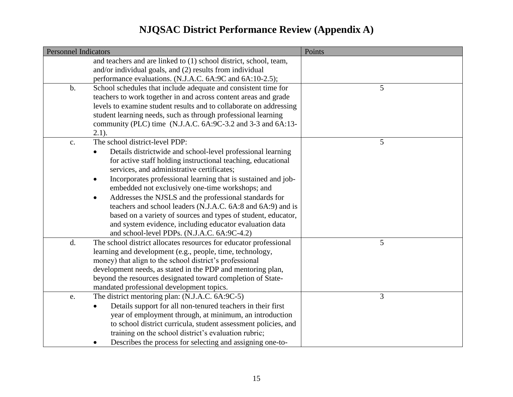| <b>Personnel Indicators</b> |                                                                            | Points |
|-----------------------------|----------------------------------------------------------------------------|--------|
|                             | and teachers and are linked to (1) school district, school, team,          |        |
|                             | and/or individual goals, and (2) results from individual                   |        |
|                             | performance evaluations. (N.J.A.C. 6A:9C and 6A:10-2.5);                   |        |
| $\mathbf b$ .               | School schedules that include adequate and consistent time for             | 5      |
|                             | teachers to work together in and across content areas and grade            |        |
|                             | levels to examine student results and to collaborate on addressing         |        |
|                             | student learning needs, such as through professional learning              |        |
|                             | community (PLC) time (N.J.A.C. 6A: 9C-3.2 and 3-3 and 6A: 13-              |        |
|                             | $2.1$ ).                                                                   |        |
| $\mathbf{c}$ .              | The school district-level PDP:                                             | 5      |
|                             | Details districtwide and school-level professional learning<br>$\bullet$   |        |
|                             | for active staff holding instructional teaching, educational               |        |
|                             | services, and administrative certificates;                                 |        |
|                             | Incorporates professional learning that is sustained and job-<br>$\bullet$ |        |
|                             | embedded not exclusively one-time workshops; and                           |        |
|                             | Addresses the NJSLS and the professional standards for<br>$\bullet$        |        |
|                             | teachers and school leaders (N.J.A.C. 6A:8 and 6A:9) and is                |        |
|                             | based on a variety of sources and types of student, educator,              |        |
|                             | and system evidence, including educator evaluation data                    |        |
|                             | and school-level PDPs. (N.J.A.C. 6A:9C-4.2)                                |        |
| d.                          | The school district allocates resources for educator professional          | 5      |
|                             | learning and development (e.g., people, time, technology,                  |        |
|                             | money) that align to the school district's professional                    |        |
|                             | development needs, as stated in the PDP and mentoring plan,                |        |
|                             | beyond the resources designated toward completion of State-                |        |
|                             | mandated professional development topics.                                  |        |
| e.                          | The district mentoring plan: (N.J.A.C. 6A:9C-5)                            | 3      |
|                             | Details support for all non-tenured teachers in their first                |        |
|                             | year of employment through, at minimum, an introduction                    |        |
|                             | to school district curricula, student assessment policies, and             |        |
|                             | training on the school district's evaluation rubric;                       |        |
|                             | Describes the process for selecting and assigning one-to-                  |        |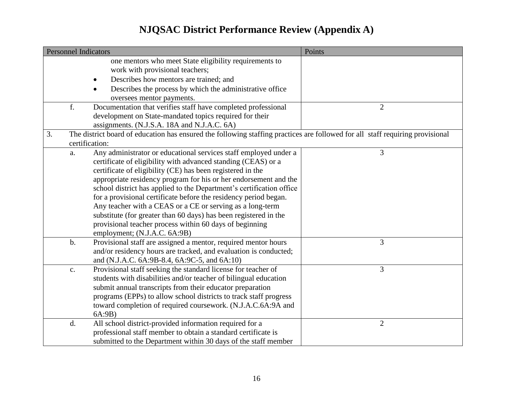|    | <b>Personnel Indicators</b> |                                                                                                                               | Points         |
|----|-----------------------------|-------------------------------------------------------------------------------------------------------------------------------|----------------|
|    |                             | one mentors who meet State eligibility requirements to                                                                        |                |
|    |                             | work with provisional teachers;                                                                                               |                |
|    |                             | Describes how mentors are trained; and                                                                                        |                |
|    |                             | Describes the process by which the administrative office                                                                      |                |
|    |                             | oversees mentor payments.                                                                                                     |                |
|    | f.                          | Documentation that verifies staff have completed professional                                                                 | $\overline{2}$ |
|    |                             | development on State-mandated topics required for their                                                                       |                |
|    |                             | assignments. (N.J.S.A. 18A and N.J.A.C. 6A)                                                                                   |                |
| 3. |                             | The district board of education has ensured the following staffing practices are followed for all staff requiring provisional |                |
|    |                             | certification:                                                                                                                |                |
|    | a.                          | Any administrator or educational services staff employed under a                                                              | 3              |
|    |                             | certificate of eligibility with advanced standing (CEAS) or a                                                                 |                |
|    |                             | certificate of eligibility (CE) has been registered in the                                                                    |                |
|    |                             | appropriate residency program for his or her endorsement and the                                                              |                |
|    |                             | school district has applied to the Department's certification office                                                          |                |
|    |                             | for a provisional certificate before the residency period began.                                                              |                |
|    |                             | Any teacher with a CEAS or a CE or serving as a long-term                                                                     |                |
|    |                             | substitute (for greater than 60 days) has been registered in the                                                              |                |
|    |                             | provisional teacher process within 60 days of beginning                                                                       |                |
|    |                             | employment; (N.J.A.C. 6A:9B)                                                                                                  |                |
|    | $b$ .                       | Provisional staff are assigned a mentor, required mentor hours                                                                | 3              |
|    |                             | and/or residency hours are tracked, and evaluation is conducted;                                                              |                |
|    |                             | and (N.J.A.C. 6A: 9B-8.4, 6A: 9C-5, and 6A: 10)                                                                               |                |
|    | $\mathbf{c}$ .              | Provisional staff seeking the standard license for teacher of                                                                 | 3              |
|    |                             | students with disabilities and/or teacher of bilingual education                                                              |                |
|    |                             | submit annual transcripts from their educator preparation                                                                     |                |
|    |                             | programs (EPPs) to allow school districts to track staff progress                                                             |                |
|    |                             | toward completion of required coursework. (N.J.A.C.6A:9A and                                                                  |                |
|    |                             | 6A:9B)                                                                                                                        |                |
|    | d.                          | All school district-provided information required for a                                                                       | $\overline{2}$ |
|    |                             | professional staff member to obtain a standard certificate is                                                                 |                |
|    |                             | submitted to the Department within 30 days of the staff member                                                                |                |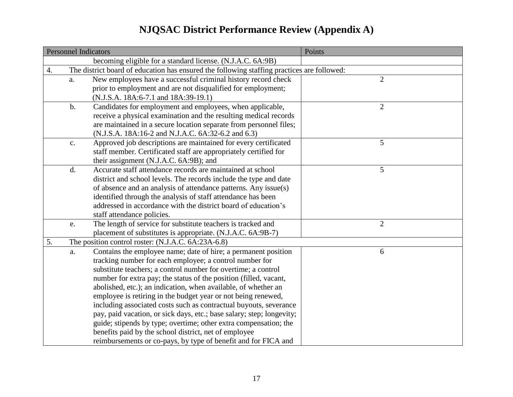|    | <b>Personnel Indicators</b> |                                                                                            | Points         |
|----|-----------------------------|--------------------------------------------------------------------------------------------|----------------|
|    |                             | becoming eligible for a standard license. (N.J.A.C. 6A:9B)                                 |                |
| 4. |                             | The district board of education has ensured the following staffing practices are followed: |                |
|    | a.                          | New employees have a successful criminal history record check                              | $\overline{2}$ |
|    |                             | prior to employment and are not disqualified for employment;                               |                |
|    |                             | (N.J.S.A. 18A:6-7.1 and 18A:39-19.1)                                                       |                |
|    | $\mathbf b$ .               | Candidates for employment and employees, when applicable,                                  | $\mathbf{2}$   |
|    |                             | receive a physical examination and the resulting medical records                           |                |
|    |                             | are maintained in a secure location separate from personnel files;                         |                |
|    |                             | (N.J.S.A. 18A:16-2 and N.J.A.C. 6A:32-6.2 and 6.3)                                         |                |
|    | $\mathbf{c}$ .              | Approved job descriptions are maintained for every certificated                            | 5              |
|    |                             | staff member. Certificated staff are appropriately certified for                           |                |
|    |                             | their assignment (N.J.A.C. 6A:9B); and                                                     |                |
|    | d.                          | Accurate staff attendance records are maintained at school                                 | 5              |
|    |                             | district and school levels. The records include the type and date                          |                |
|    |                             | of absence and an analysis of attendance patterns. Any issue(s)                            |                |
|    |                             | identified through the analysis of staff attendance has been                               |                |
|    |                             | addressed in accordance with the district board of education's                             |                |
|    |                             | staff attendance policies.                                                                 |                |
|    | e.                          | The length of service for substitute teachers is tracked and                               | $\overline{2}$ |
|    |                             | placement of substitutes is appropriate. (N.J.A.C. 6A:9B-7)                                |                |
| 5. |                             | The position control roster: (N.J.A.C. 6A:23A-6.8)                                         |                |
|    | a.                          | Contains the employee name; date of hire; a permanent position                             | 6              |
|    |                             | tracking number for each employee; a control number for                                    |                |
|    |                             | substitute teachers; a control number for overtime; a control                              |                |
|    |                             | number for extra pay; the status of the position (filled, vacant,                          |                |
|    |                             | abolished, etc.); an indication, when available, of whether an                             |                |
|    |                             | employee is retiring in the budget year or not being renewed,                              |                |
|    |                             | including associated costs such as contractual buyouts, severance                          |                |
|    |                             | pay, paid vacation, or sick days, etc.; base salary; step; longevity;                      |                |
|    |                             | guide; stipends by type; overtime; other extra compensation; the                           |                |
|    |                             | benefits paid by the school district, net of employee                                      |                |
|    |                             | reimbursements or co-pays, by type of benefit and for FICA and                             |                |